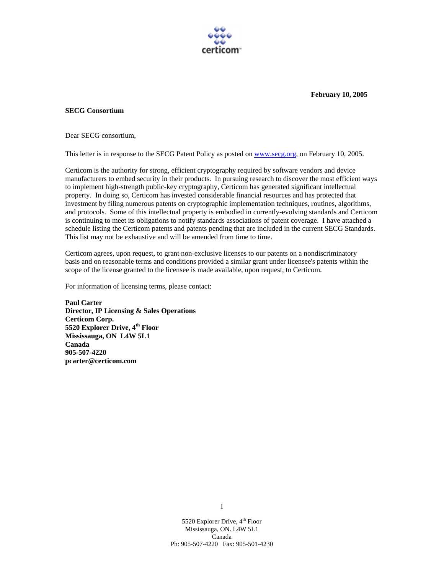

**February 10, 2005** 

## **SECG Consortium**

Dear SECG consortium,

This letter is in response to the SECG Patent Policy as posted on www.secg.org, on February 10, 2005.

Certicom is the authority for strong, efficient cryptography required by software vendors and device manufacturers to embed security in their products. In pursuing research to discover the most efficient ways to implement high-strength public-key cryptography, Certicom has generated significant intellectual property. In doing so, Certicom has invested considerable financial resources and has protected that investment by filing numerous patents on cryptographic implementation techniques, routines, algorithms, and protocols. Some of this intellectual property is embodied in currently-evolving standards and Certicom is continuing to meet its obligations to notify standards associations of patent coverage. I have attached a schedule listing the Certicom patents and patents pending that are included in the current SECG Standards. This list may not be exhaustive and will be amended from time to time.

Certicom agrees, upon request, to grant non-exclusive licenses to our patents on a nondiscriminatory basis and on reasonable terms and conditions provided a similar grant under licensee's patents within the scope of the license granted to the licensee is made available, upon request, to Certicom.

For information of licensing terms, please contact:

**Paul Carter Director, IP Licensing & Sales Operations Certicom Corp. 5520 Explorer Drive, 4th Floor Mississauga, ON L4W 5L1 Canada 905-507-4220 pcarter@certicom.com**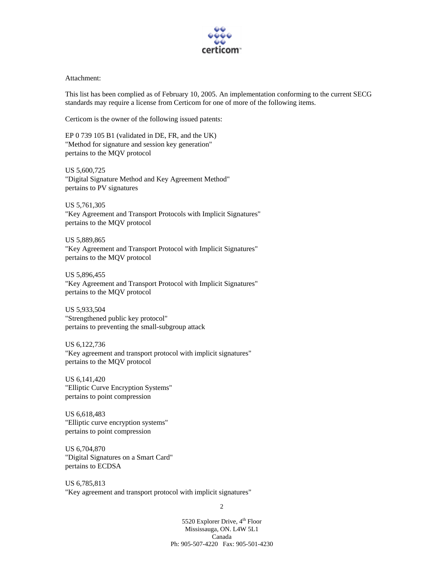

## Attachment:

This list has been complied as of February 10, 2005. An implementation conforming to the current SECG standards may require a license from Certicom for one of more of the following items.

Certicom is the owner of the following issued patents:

EP 0 739 105 B1 (validated in DE, FR, and the UK) "Method for signature and session key generation" pertains to the MQV protocol

US 5,600,725 "Digital Signature Method and Key Agreement Method" pertains to PV signatures

US 5,761,305 "Key Agreement and Transport Protocols with Implicit Signatures" pertains to the MQV protocol

US 5,889,865 "Key Agreement and Transport Protocol with Implicit Signatures" pertains to the MQV protocol

US 5,896,455 "Key Agreement and Transport Protocol with Implicit Signatures" pertains to the MQV protocol

US 5,933,504 "Strengthened public key protocol" pertains to preventing the small-subgroup attack

US 6,122,736 "Key agreement and transport protocol with implicit signatures" pertains to the MQV protocol

US 6,141,420 "Elliptic Curve Encryption Systems" pertains to point compression

US 6,618,483 "Elliptic curve encryption systems" pertains to point compression

US 6,704,870 "Digital Signatures on a Smart Card" pertains to ECDSA

US 6,785,813 "Key agreement and transport protocol with implicit signatures"

2

5520 Explorer Drive, 4<sup>th</sup> Floor Mississauga, ON. L4W 5L1 Canada Ph: 905-507-4220 Fax: 905-501-4230